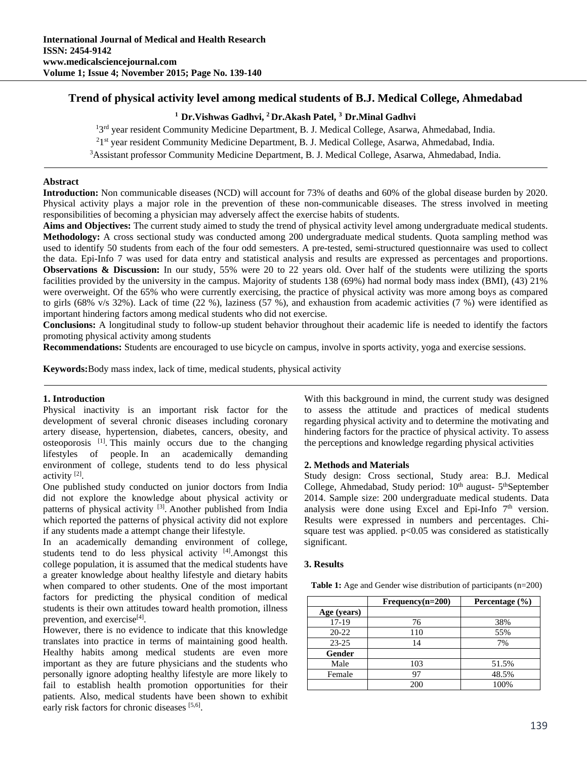## **Trend of physical activity level among medical students of B.J. Medical College, Ahmedabad**

# **1 Dr.Vishwas Gadhvi, 2 Dr.Akash Patel, 3 Dr.Minal Gadhvi**

<sup>13rd</sup> year resident Community Medicine Department, B. J. Medical College, Asarwa, Ahmedabad, India.<br><sup>21st</sup> year resident Community Medicine Department, B. J. Medical College, Asarwa, Ahmedabad, India.

<sup>2</sup>1<sup>st</sup> year resident Community Medicine Department, B. J. Medical College, Asarwa, Ahmedabad, India.

<sup>3</sup> Assistant professor Community Medicine Department, B. J. Medical College, Asarwa, Ahmedabad, India.

### **Abstract**

**Introduction:** Non communicable diseases (NCD) will account for 73% of deaths and 60% of the global disease burden by 2020. Physical activity plays a major role in the prevention of these non-communicable diseases. The stress involved in meeting responsibilities of becoming a physician may adversely affect the exercise habits of students.

**Aims and Objectives:** The current study aimed to study the trend of physical activity level among undergraduate medical students. **Methodology:** A cross sectional study was conducted among 200 undergraduate medical students. Quota sampling method was used to identify 50 students from each of the four odd semesters. A pre-tested, semi-structured questionnaire was used to collect the data. Epi-Info 7 was used for data entry and statistical analysis and results are expressed as percentages and proportions. **Observations & Discussion:** In our study, 55% were 20 to 22 years old. Over half of the students were utilizing the sports facilities provided by the university in the campus. Majority of students 138 (69%) had normal body mass index (BMI), (43) 21% were overweight. Of the 65% who were currently exercising, the practice of physical activity was more among boys as compared to girls (68% v/s 32%). Lack of time (22 %), laziness (57 %), and exhaustion from academic activities (7 %) were identified as important hindering factors among medical students who did not exercise.

**Conclusions:** A longitudinal study to follow-up student behavior throughout their academic life is needed to identify the factors promoting physical activity among students

**Recommendations:** Students are encouraged to use bicycle on campus, involve in sports activity, yoga and exercise sessions.

**Keywords:**Body mass index, lack of time, medical students, physical activity

#### **1. Introduction**

Physical inactivity is an important risk factor for the development of several chronic diseases including coronary artery disease, hypertension, diabetes, cancers, obesity, and osteoporosis [1]. This mainly occurs due to the changing lifestyles of people. In an academically demanding environment of college, students tend to do less physical activity [2].

One published study conducted on junior doctors from India did not explore the knowledge about physical activity or patterns of physical activity <sup>[3]</sup>. Another published from India which reported the patterns of physical activity did not explore if any students made a attempt change their lifestyle.

In an academically demanding environment of college, students tend to do less physical activity [4]. Amongst this college population, it is assumed that the medical students have a greater knowledge about healthy lifestyle and dietary habits when compared to other students. One of the most important factors for predicting the physical condition of medical students is their own attitudes toward health promotion, illness prevention, and exercise<sup>[4]</sup>.

However, there is no evidence to indicate that this knowledge translates into practice in terms of maintaining good health. Healthy habits among medical students are even more important as they are future physicians and the students who personally ignore adopting healthy lifestyle are more likely to fail to establish health promotion opportunities for their patients. Also, medical students have been shown to exhibit early risk factors for chronic diseases [5,6].

With this background in mind, the current study was designed to assess the attitude and practices of medical students regarding physical activity and to determine the motivating and hindering factors for the practice of physical activity. To assess the perceptions and knowledge regarding physical activities

#### **2. Methods and Materials**

Study design: Cross sectional, Study area: B.J. Medical College, Ahmedabad, Study period: 10<sup>th</sup> august- 5<sup>th</sup>September 2014. Sample size: 200 undergraduate medical students. Data analysis were done using Excel and Epi-Info 7<sup>th</sup> version. Results were expressed in numbers and percentages. Chisquare test was applied.  $p<0.05$  was considered as statistically significant.

#### **3. Results**

**Table 1:** Age and Gender wise distribution of participants (n=200)

|             | $Frequency(n=200)$ | Percentage $(\% )$ |
|-------------|--------------------|--------------------|
| Age (years) |                    |                    |
| $17-19$     | 76                 | 38%                |
| $20 - 22$   | 110                | 55%                |
| $23 - 25$   | 14                 | 7%                 |
| Gender      |                    |                    |
| Male        | 103                | 51.5%              |
| Female      | 97                 | 48.5%              |
|             | 200                | 100%               |